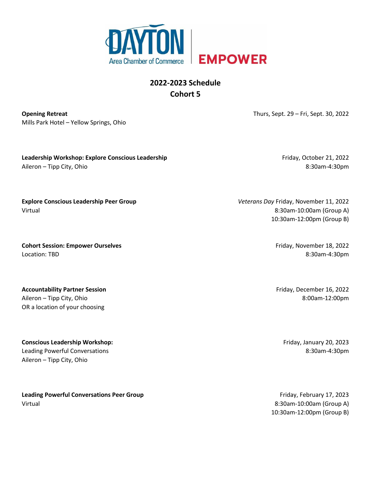

## **2022-2023 Schedule Cohort 5**

**Opening Retreat** Mills Park Hotel – Yellow Springs, Ohio Thurs, Sept. 29 – Fri, Sept. 30, 2022

**Leadership Workshop: Explore Conscious Leadership**  Aileron – Tipp City, Ohio

Friday, October 21, 2022 8:30am-4:30pm

**Explore Conscious Leadership Peer Group**  Virtual

**Cohort Session: Empower Ourselves**  Location: TBD

**Accountability Partner Session**  Aileron – Tipp City, Ohio OR a location of your choosing

**Conscious Leadership Workshop:**  Leading Powerful Conversations Aileron – Tipp City, Ohio

**Leading Powerful Conversations Peer Group**  Virtual

*Veterans Day* Friday, November 11, 2022 8:30am-10:00am (Group A) 10:30am-12:00pm (Group B)

> Friday, November 18, 2022 8:30am-4:30pm

Friday, December 16, 2022 8:00am-12:00pm

Friday, January 20, 2023 8:30am-4:30pm

Friday, February 17, 2023 8:30am-10:00am (Group A) 10:30am-12:00pm (Group B)